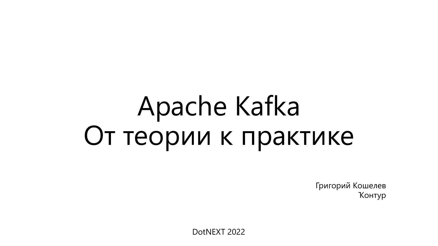# Apache Kafka От теории к практике

Григорий Кошелев Ҡонтур

DotNEXT 2022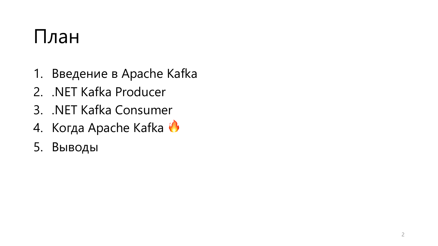#### План

- 1. Введение в Apache Kafka
- 2. .NET Kafka Producer
- 3. .NET Kafka Consumer
- 4. Когда Apache Kafka
- 5. Выводы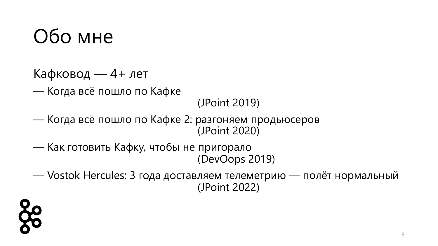#### Обо мне

- Кафковод 4+ лет
- Когда всё пошло по Кафке

(JPoint 2019)

- Когда всё пошло по Кафке 2: разгоняем продьюсеров (JPoint 2020)
- Как готовить Кафку, чтобы не пригорало (DevOops 2019)

— Vostok Hercules: 3 года доставляем телеметрию — полёт нормальный (JPoint 2022)

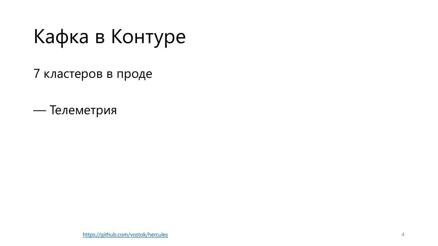#### 7 кластеров в проде

— Телеметрия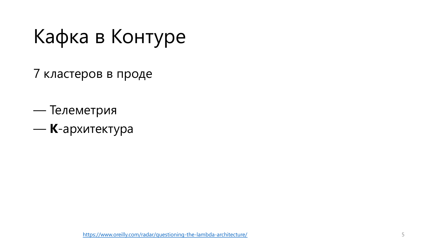- 7 кластеров в проде
- Телеметрия — **Κ**-ар[хитектура](https://www.oreilly.com/radar/questioning-the-lambda-architecture/)

https://www.oreilly.com/radar/questioning-the-lambda-architecture/ 5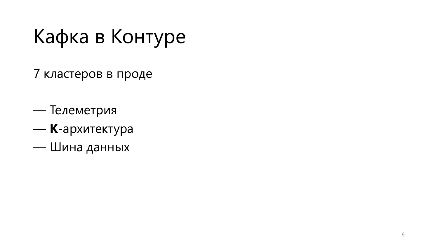- 7 кластеров в проде
- Телеметрия
- **Κ**-архитектура
- Шина данных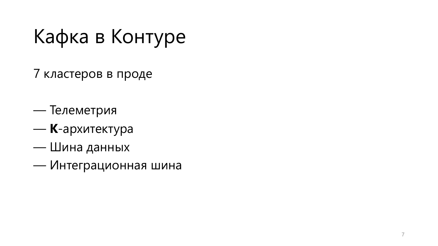- 7 кластеров в проде
- Телеметрия
- **Κ**-архитектура
- Шина данных
- Интеграционная шина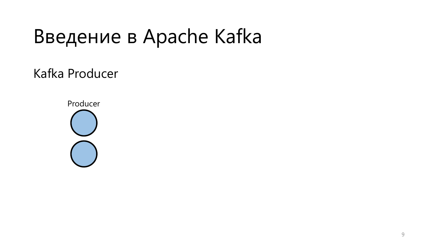Kafka Producer

Producer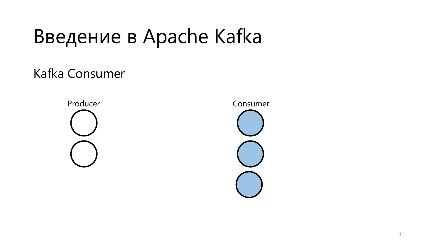Kafka Consumer



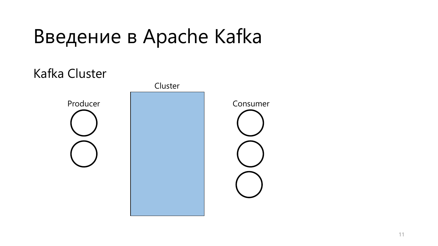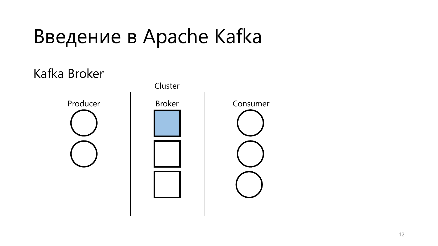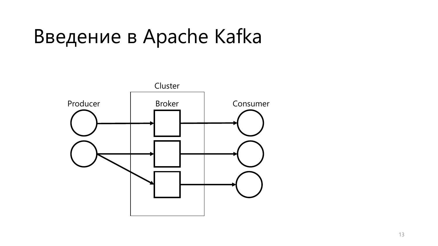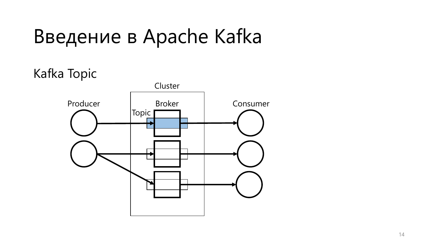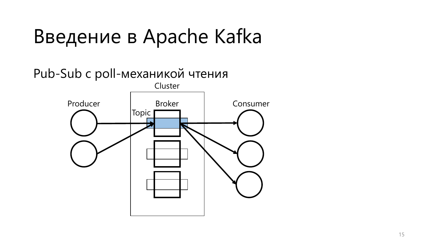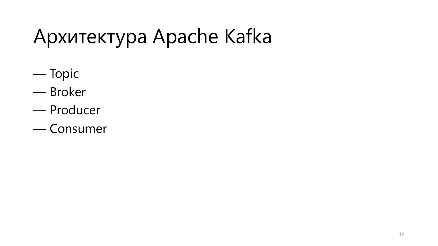# Архитектура Apache Kafka

- Topic
- Broker
- Producer
- Consumer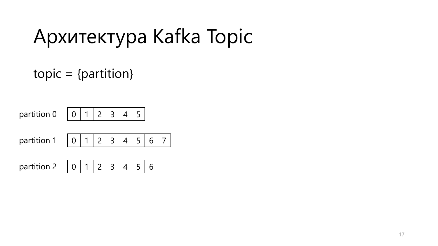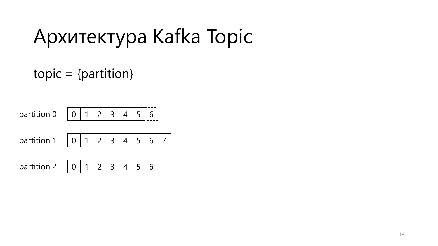| partition 0   0   1   2   3   4   5     |  |  |  |  |
|-----------------------------------------|--|--|--|--|
| partition 1   0   1   2   3   4   5   0 |  |  |  |  |
|                                         |  |  |  |  |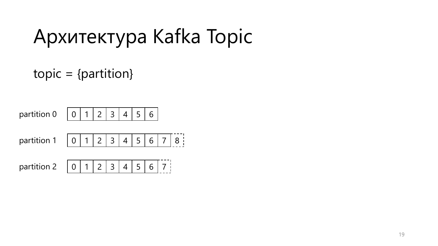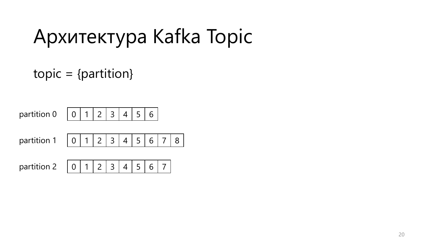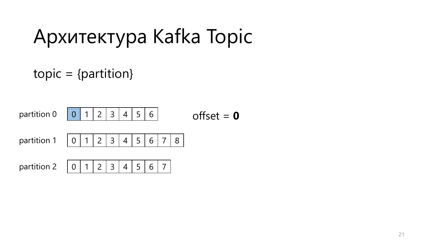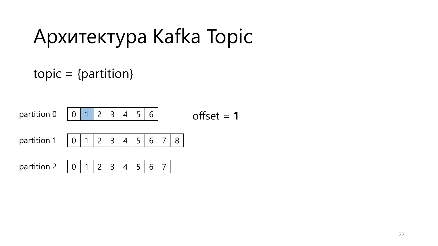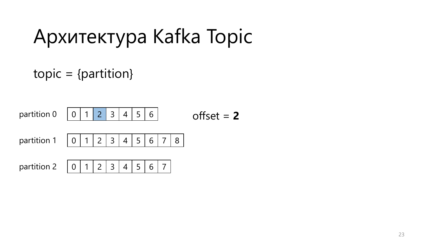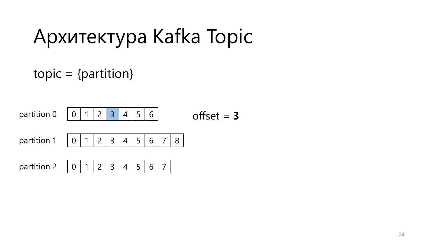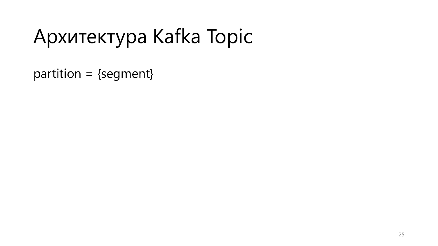partition = {segment}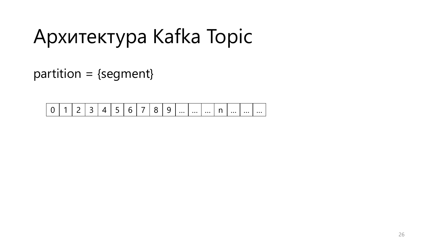partition = {segment}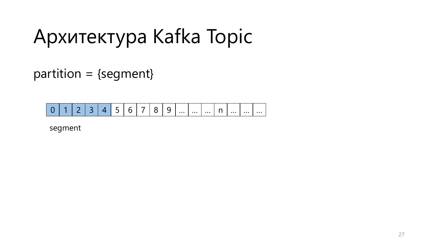partition = {segment}

$$
0 1 2 3 4 5 6 7 8 9 \dots \dots \dots \dots \dots \dots
$$

segment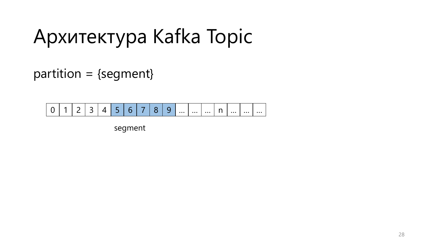partition = {segment}

$$
\boxed{0 \mid 1 \mid 2 \mid 3 \mid 4 \mid 5 \mid 6 \mid 7 \mid 8 \mid 9 \mid ... \mid ... \mid n \mid ... \mid ... \mid ...}
$$

segment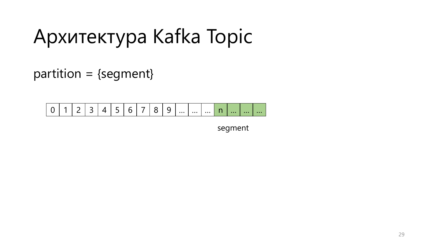partition = {segment}

|  | 1 2 3 4 5 6 7 |  |  |  |
|--|---------------|--|--|--|
|--|---------------|--|--|--|

segment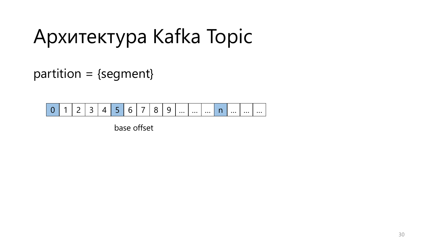partition = {segment}

$$
0 1 2 3 4 5 6 7 8 9 \dots \dots \dots \dots \dots \dots
$$

base offset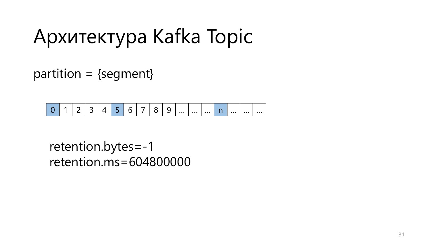partition = {segment}

$$
0 1 2 3 4 5 6 7 8 9 \dots \dots \dots \dots \dots \dots
$$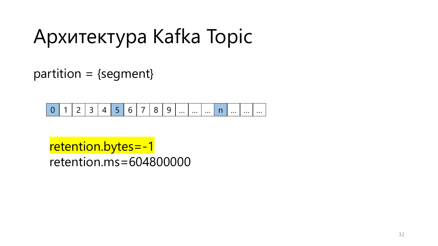partition = {segment}

$$
0 1 2 3 4 5 6 7 8 9 \dots \dots \dots \dots \dots \dots
$$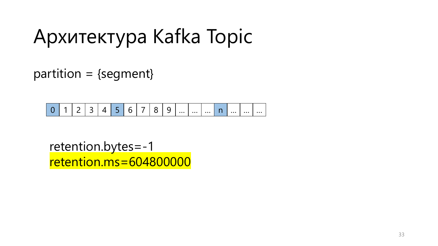$partition = {segment}$ 

$$
0 1 2 3 4 5 6 7 8 9 \dots \dots \dots \dots \dots \dots
$$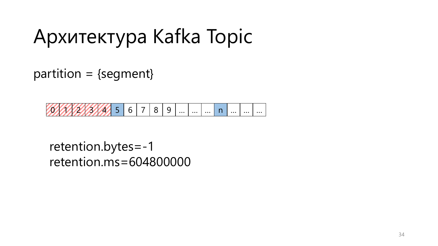$partition = {segment}$ 

 $5 \mid 6 \mid 7 \mid 8 \mid 9 \mid ... \mid ... \mid ... \mid n \mid ... \mid ... \mid ...$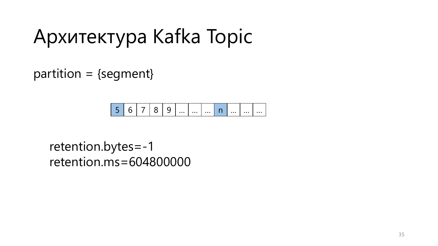partition = {segment}

|  |  |  |  |  |  |  |  |  |  |  | $\cdots$ |
|--|--|--|--|--|--|--|--|--|--|--|----------|
|--|--|--|--|--|--|--|--|--|--|--|----------|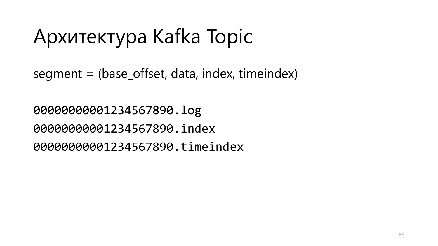segment = (base\_offset, data, index, timeindex)

00000000001234567890.log 00000000001234567890.index 00000000001234567890.timeindex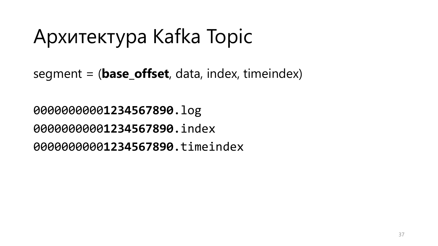segment = (**base\_offset**, data, index, timeindex)

**1234567890**.log **1234567890**.index **1234567890**.timeindex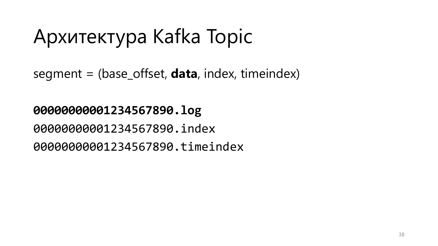segment = (base\_offset, **data**, index, timeindex)

#### **00000000001234567890.log**

00000000001234567890.index

00000000001234567890.timeindex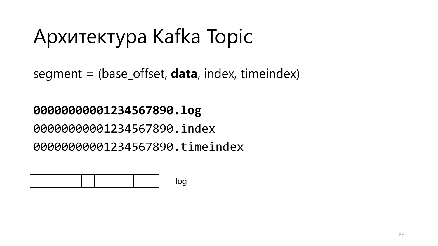segment = (base\_offset, **data**, index, timeindex)

#### **00000000001234567890.log**

00000000001234567890.index

00000000001234567890.timeindex

|  |  | $\sim$ |
|--|--|--------|
|  |  |        |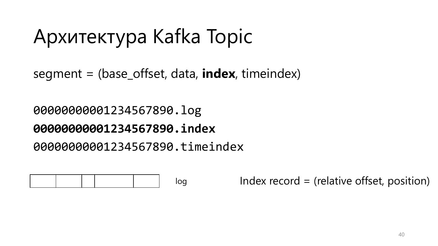segment = (base\_offset, data, **index**, timeindex)

00000000001234567890.log **00000000001234567890.index**

00000000001234567890.timeindex

|--|

log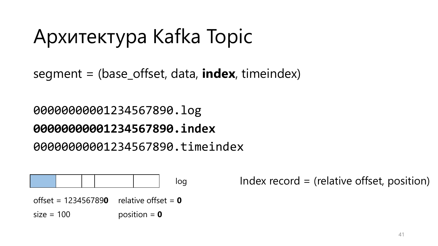segment = (base\_offset, data, **index**, timeindex)

#### 00000000001234567890.log **00000000001234567890.index**

#### 00000000001234567890.timeindex

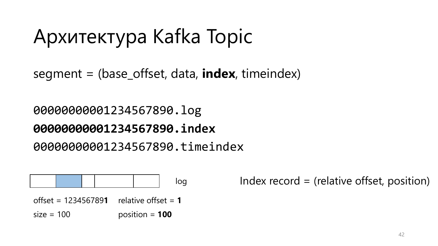segment = (base\_offset, data, **index**, timeindex)

#### 00000000001234567890.log **00000000001234567890.index**

00000000001234567890.timeindex

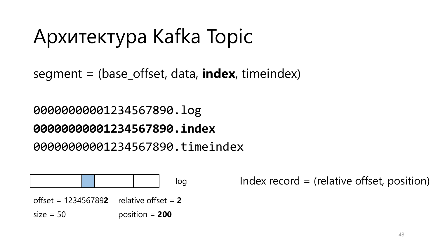segment = (base\_offset, data, **index**, timeindex)

### 00000000001234567890.log

### **00000000001234567890.index**

00000000001234567890.timeindex

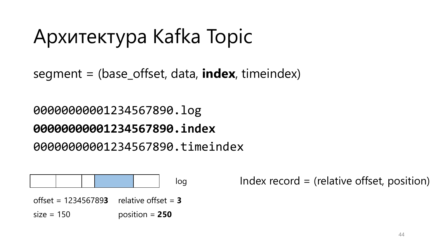segment = (base\_offset, data, **index**, timeindex)

#### 00000000001234567890.log **00000000001234567890.index**

#### 00000000001234567890.timeindex

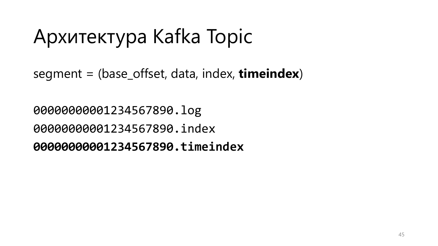segment = (base\_offset, data, index, **timeindex**)

00000000001234567890.log 00000000001234567890.index **00000000001234567890.timeindex**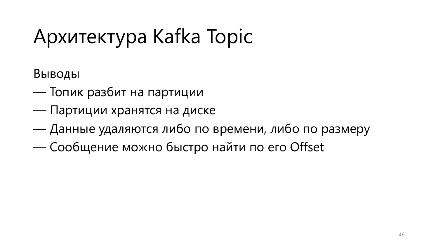Выводы

- Топик разбит на партиции
- Партиции хранятся на диске
- Данные удаляются либо по времени, либо по размеру
- Сообщение можно быстро найти по его Offset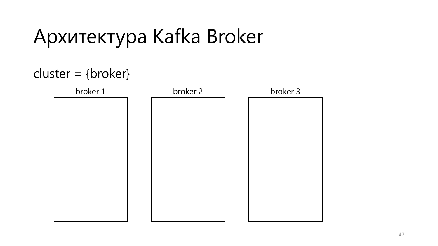#### cluster = {broker}

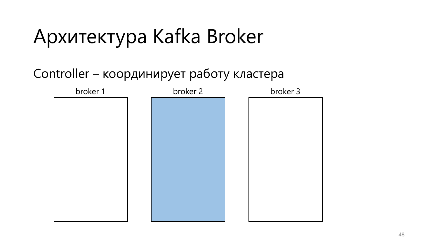#### Controller – координирует работу кластера

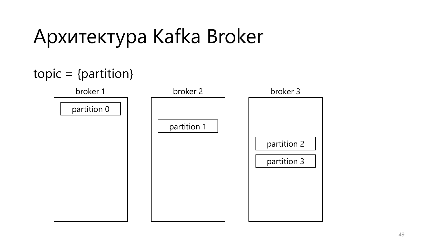#### $topic = {partition}$

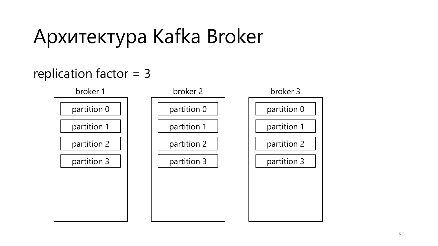#### replication factor = 3

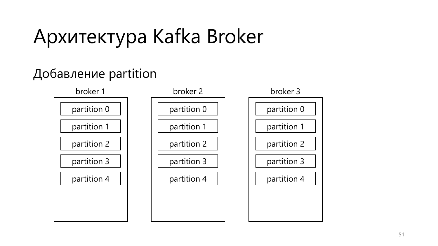#### Добавление partition

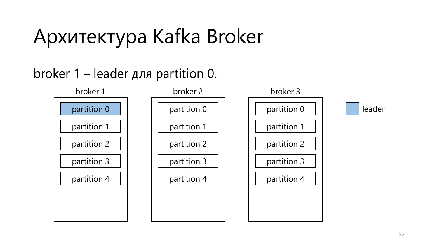#### broker 1 – leader для partition 0.

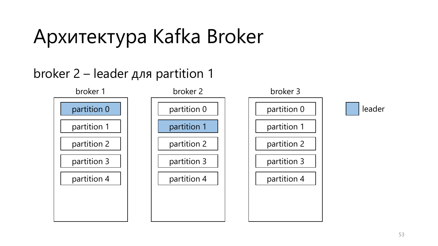#### broker 2 – leader для partition 1

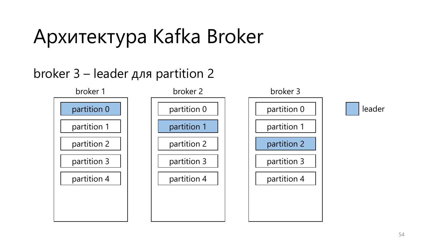#### broker 3 – leader для partition 2

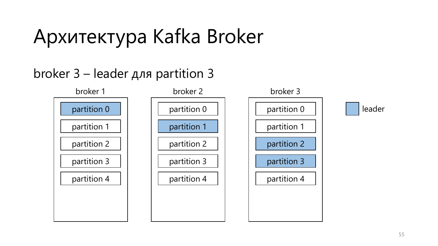#### broker 3 – leader для partition 3

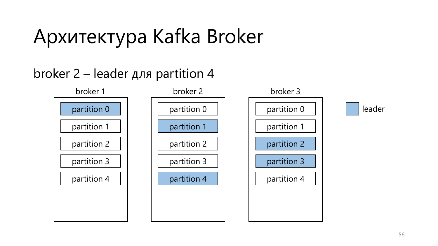#### broker 2 – leader для partition 4

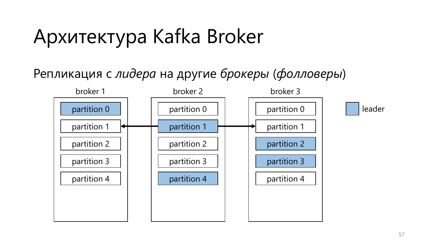#### Репликация с *лидера* на другие *брокеры* (*фолловеры*)

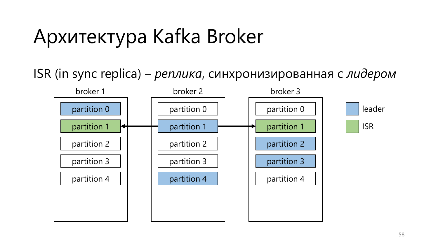ISR (in sync replica) – *реплика*, синхронизированная с *лидером*

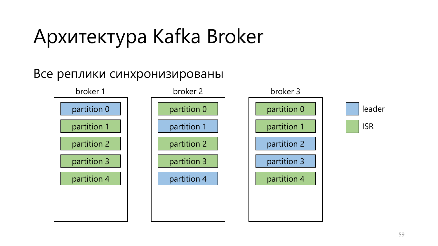#### Все реплики синхронизированы

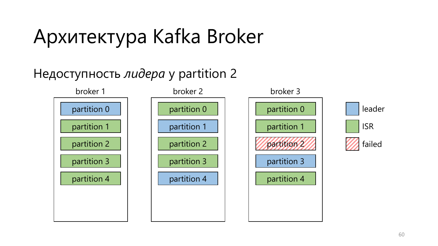#### Недоступность *лидера* у partition 2

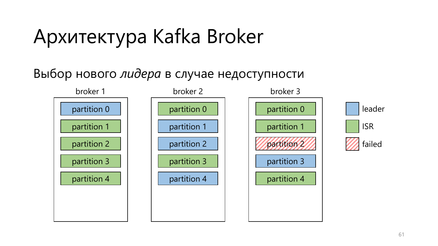#### Выбор нового *лидера* в случае недоступности

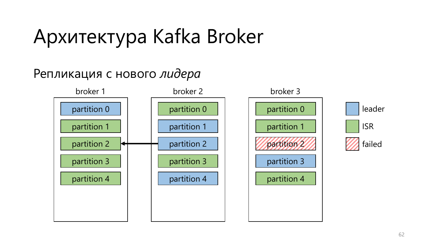#### Репликация с нового *лидера*

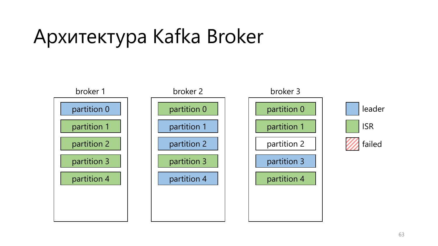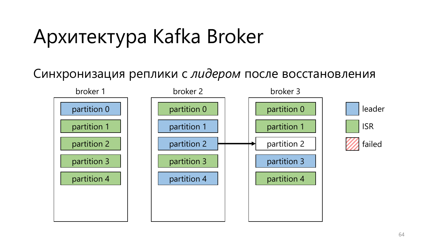#### Синхронизация реплики с *лидером* после восстановления

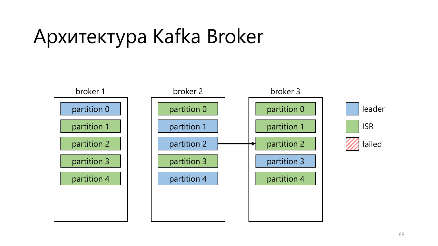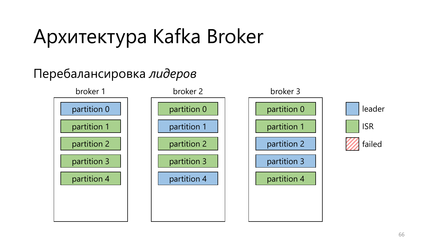#### Перебалансировка *лидеров*

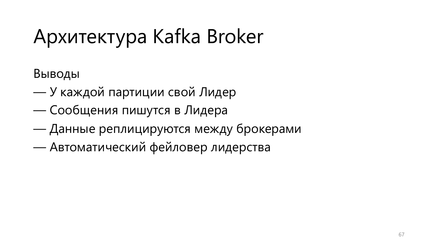Выводы

- У каждой партиции свой Лидер
- Сообщения пишутся в Лидера
- Данные реплицируются между брокерами
- Автоматический фейловер лидерства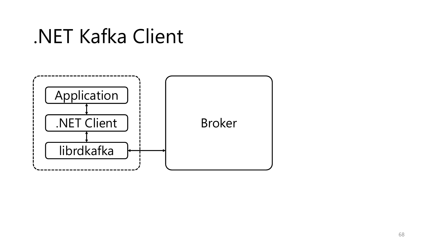### .NET Kafka Client

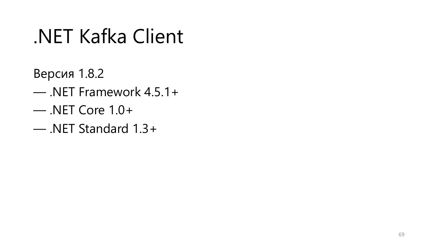### .NET Kafka Client

- Версия 1.8.2
- .NET Framework 4.5.1+
- .NET Core 1.0+
- .NET Standard 1.3+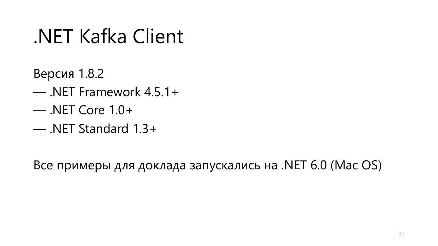### .NET Kafka Client

- Версия 1.8.2
- .NET Framework 4.5.1+
- .NET Core 1.0+
- .NET Standard 1.3+

Все примеры для доклада запускались на .NET 6.0 (Mac OS)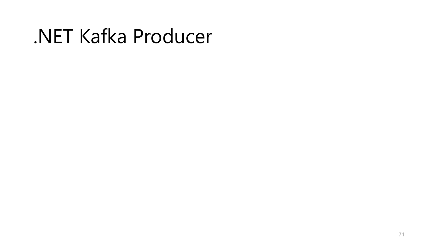### .NET Kafka Producer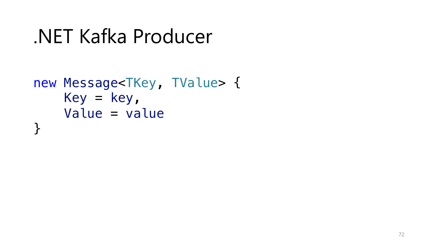### .NET Kafka Producer

```
new Message<TKey, TValue> {
   Key = key,Value = value
}
```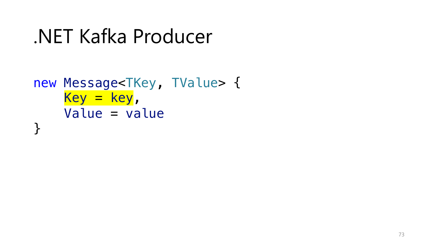```
new Message<TKey, TValue> {
    Key = key,
    Value = value
}
```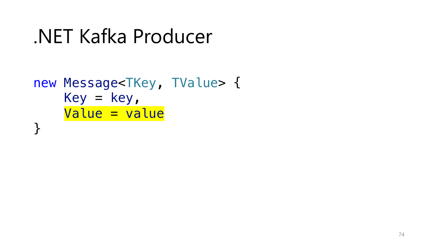```
new Message<TKey, TValue> {
   Key = key,Value = value
}
```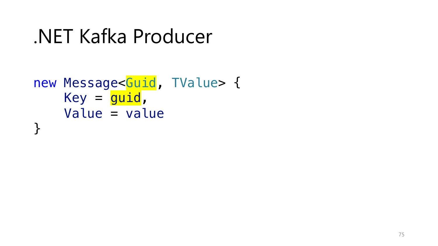```
new Message<Guid, TValue> {
    Key = <b>guide</b>,
    Value = value
}
```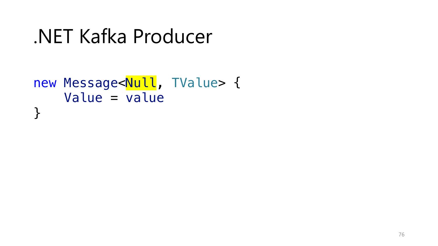```
.NET Kafka Producer
```

```
new Message<Null, TValue> {
    Value = value
}
```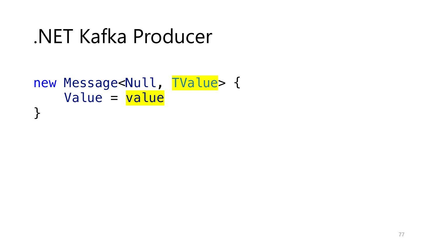.NET Kafka Producer

```
new Message<Null, TValue> {
    Value = value
}
```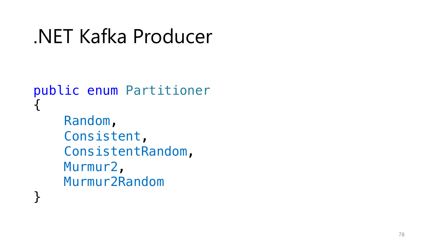```
.NET Kafka Producer
```

```
public enum Partitioner {
    Random
,
    Consistent
,
    ConsistentRandom
,
    Murmur2
,
    Murmur2Random
}
```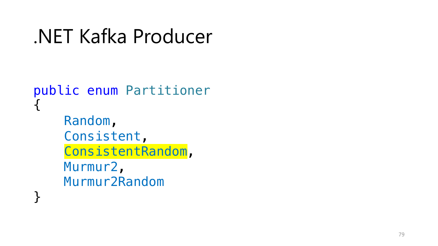```
.NET Kafka Producer
```

```
public enum Partitioner {
    Random
,
    Consistent
,
    ConsistentRandom
,
    Murmur2
,
    Murmur2Random
}
```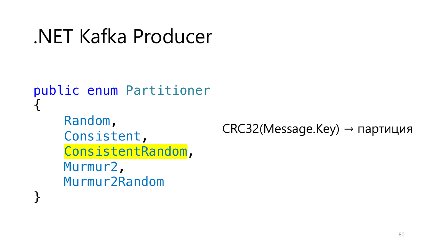```
NET Kafka Producer
```

```
public enum Partitioner
     Random,
                               CRC32(Message.Key) \rightarrow партиция
     Consistent,
     ConsistentRandom,
     Murmur2,
     Murmur<sub>2Random</sub>
```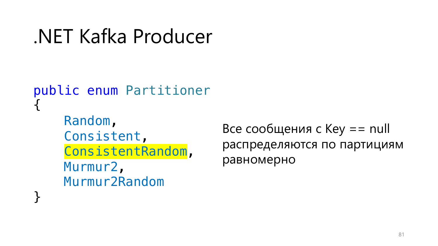```
NET Kafka Producer
```

```
public enum Partitioner
    Random,
    Consistent,
    ConsistentRandom,
    Murmur2,
    Murmur<sub>2Random</sub>
```
Все сообщения с  $Key == null$ распределяются по партициям равномерно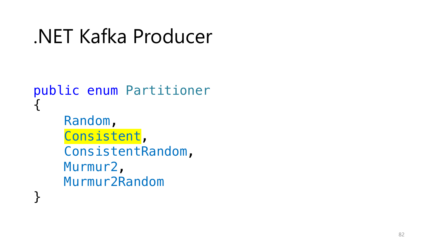```
.NET Kafka Producer
```

```
public enum Partitioner {
    Random
,
    Consistent
,
    ConsistentRandom
,
    Murmur2
,
    Murmur2Random
}
```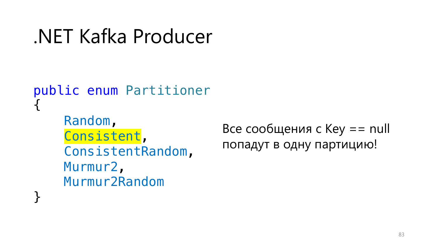```
NET Kafka Producer
```

```
public enum Partitioner
    Random,
    Consistent,
    ConsistentRandom,
    Murmur2,
    Murmur<sub>2Random</sub>
```
Все сообщения с  $Key == null$ попадут в одну партицию!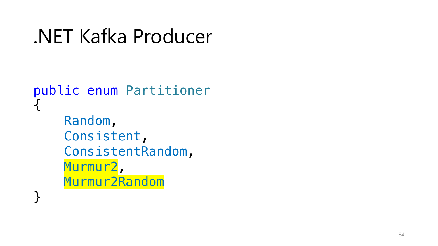```
.NET Kafka Producer
```

```
public enum Partitioner {
    Random
,
    Consistent
,
    ConsistentRandom
,
    Murmur2
,
    Murmur2Random
}
```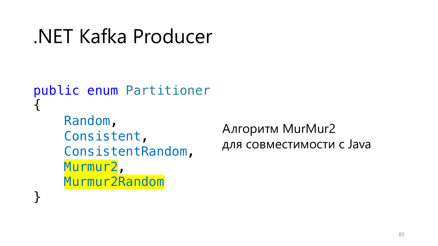```
NET Kafka Producer
```

```
public enum Partitioner
    Random,
    Consistent,
    ConsistentRandom,
    Murmur2,
    Murmur<sub>2Random</sub>
```
Алгоритм MurMur2 для совместимости с Java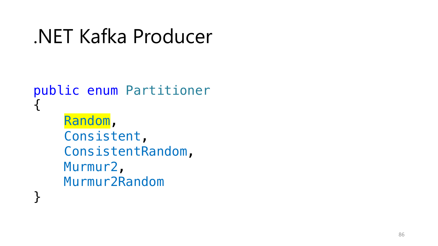```
.NET Kafka Producer
```

```
public enum Partitioner {
    Random
,
    Consistent
,
    ConsistentRandom
,
    Murmur2
,
    Murmur2Random
}
```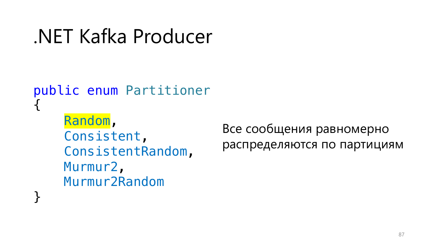```
.NET Kafka Producer
```

```
public enum Partitioner
{
    Random,
    Consistent,
    ConsistentRandom,
    Murmur2,
    Murmur2Random
}
```
Все сообщения равномерно распределяются по партициям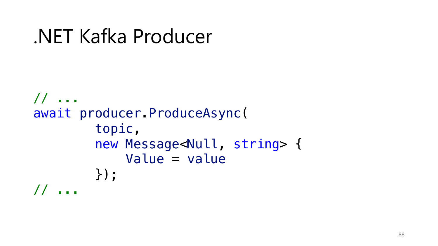```
// ...
await producer.ProduceAsync(
        topic,
        new Message<Null, string> {
            Value = value
        });
// ...
```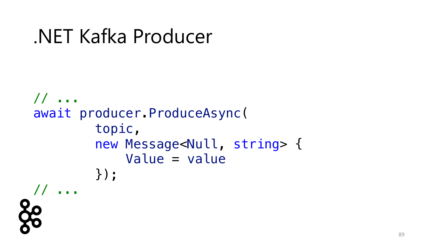```
.NET Kafka Producer
```

```
// ...
await producer.ProduceAsync(
        topic,
        new Message<Null, string> {
            Value = value
        });
// ...
```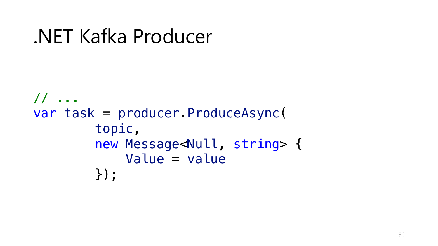```
// ...
var task = producer.ProduceAsync(
        topic,
        new Message<Null, string> {
            Value = value
        });
```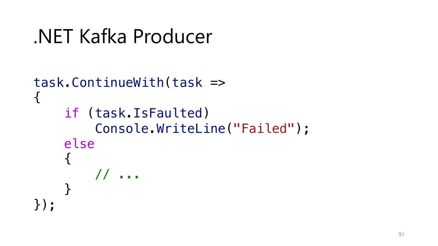```
.NET Kafka Producer
```

```
task.ContinueWith(task =>
{
    if (task.IsFaulted)
        Console.WriteLine("Failed");
    else
    {
        // ...
    }
});
```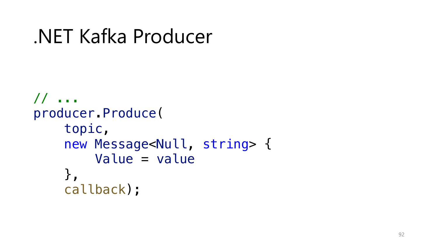```
// ...
producer.Produce(
    topic,
    new Message<Null, string> {
        Value = value
    },
    callback);
```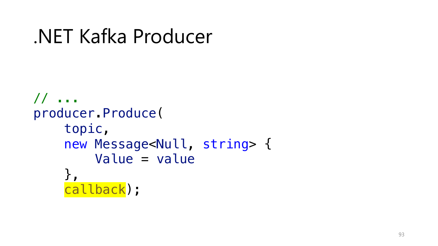```
// ...
producer.Produce(
    topic,
    new Message<Null, string> {
        Value = value
    },
    callback);
```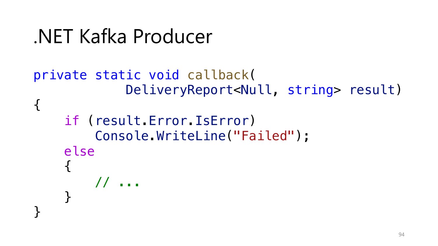```
.NET Kafka Producer
```

```
private static void callback(
             DeliveryReport<Null, string> result)
{
    if (result.Error.IsError)
        Console.WriteLine("Failed");
    else
    {
        // ...
    }<br>}
}
```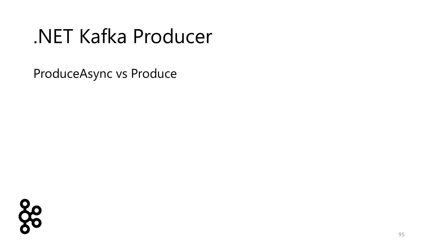ProduceAsync vs Produce

88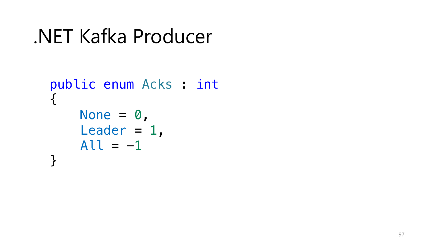```
NET Kafka Producer
```

```
public enum Acks : int
\{None = \theta,
    Leader = 1,
    All = -1\}
```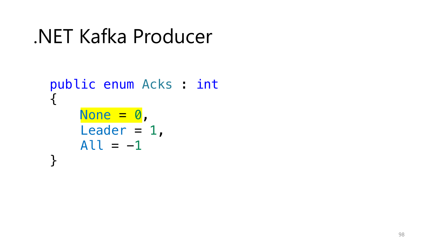```
NET Kafka Producer
```

```
public enum Acks : int
\left\{ \right.None = 0,
     Leader = 1,
     All = -1\}
```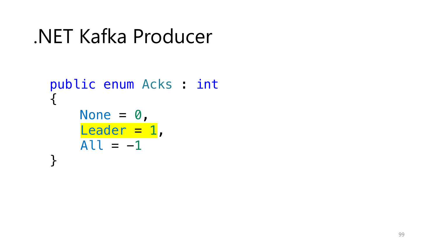```
NET Kafka Producer
```

```
public enum Acks : int
\left\{ \right.None = \theta,
     Leader = 1,
     All = -1\}
```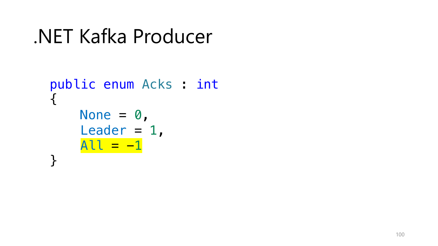```
NET Kafka Producer
```

```
public enum Acks : int
\left\{ \right.None = \theta,
      Leader = 1,
      \overline{A}U = -1\}
```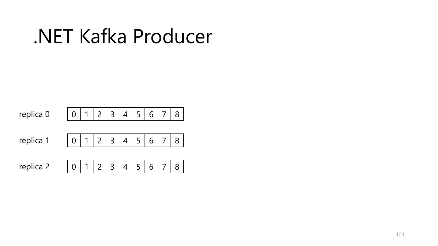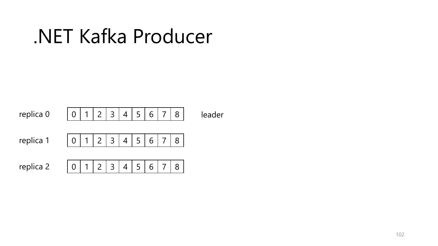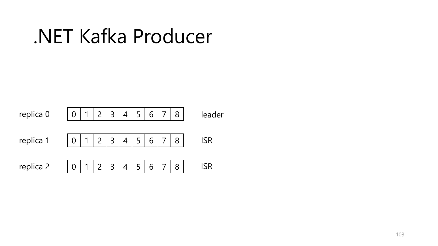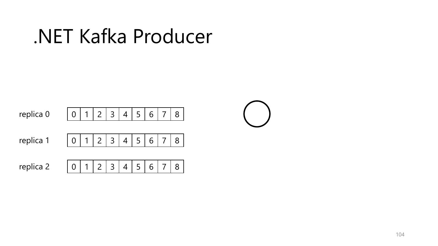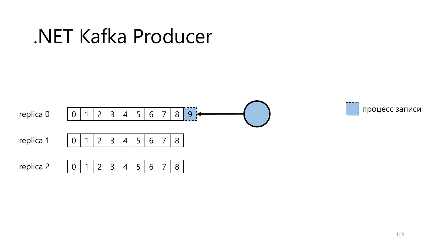

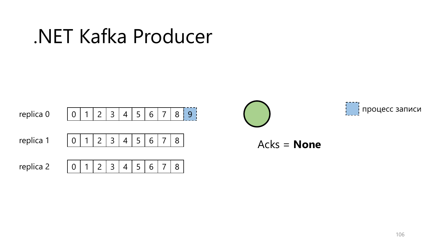.NET Kafka Producer







Acks = **None**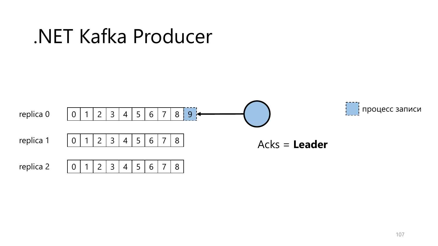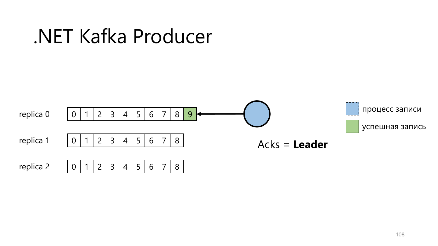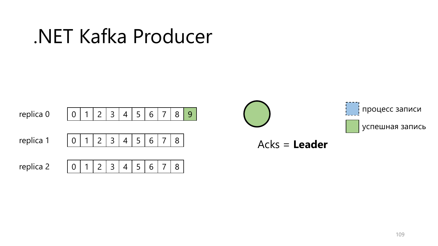.NET Kafka Producer



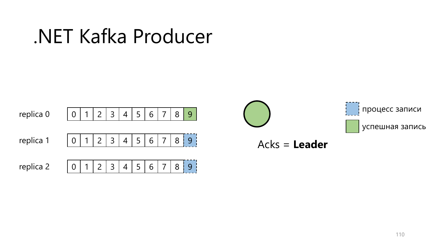

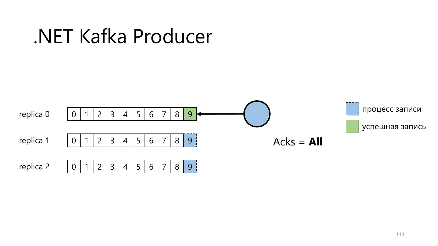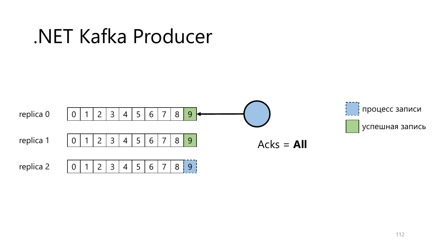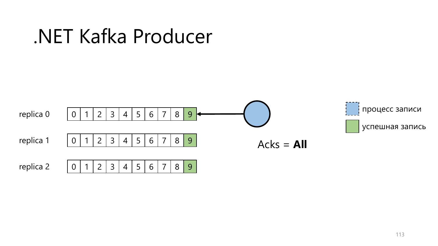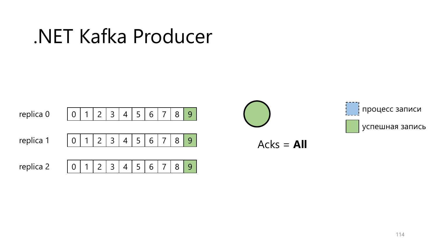

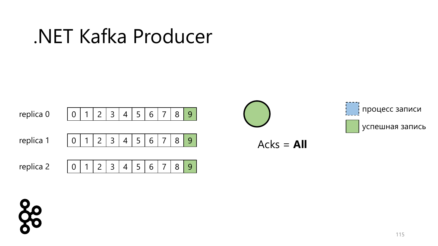



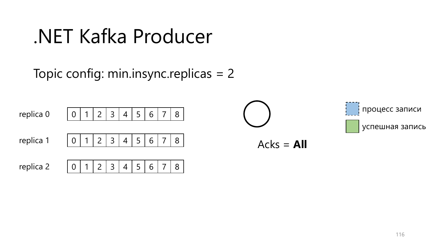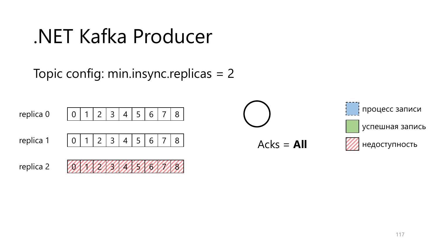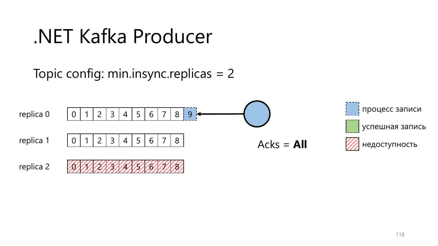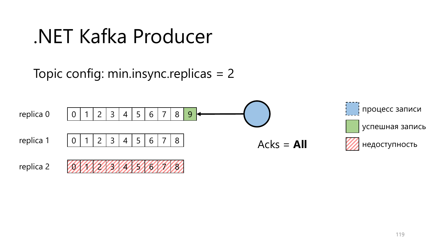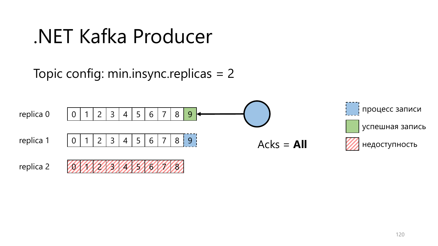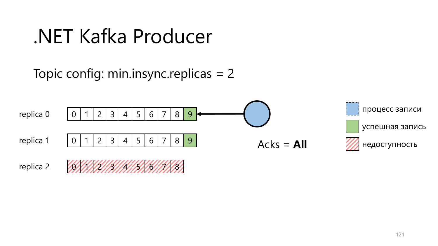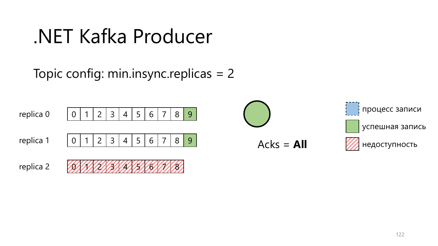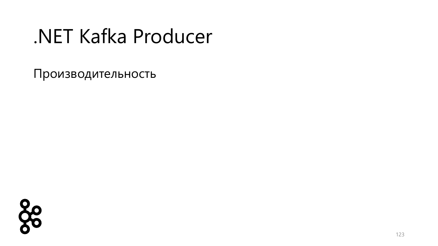88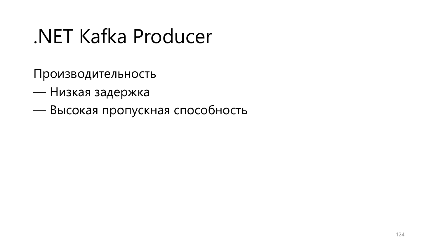- Низкая задержка
- Высокая пропускная способность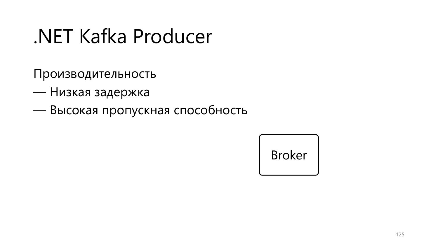- Низкая задержка
- Высокая пропускная способность

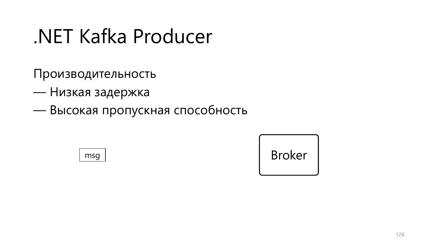- Низкая задержка
- Высокая пропускная способность



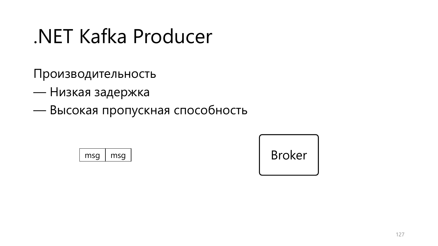- Низкая задержка
- Высокая пропускная способность



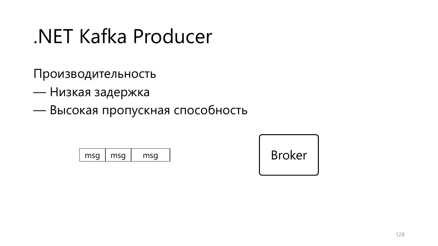- Низкая задержка
- Высокая пропускная способность

| msa | msa | าсศ |
|-----|-----|-----|
|-----|-----|-----|

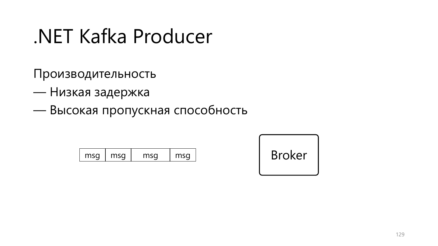- Низкая задержка
- Высокая пропускная способность

| mcn<br>mcn | mcn | mc <sub>2</sub> |
|------------|-----|-----------------|
|------------|-----|-----------------|

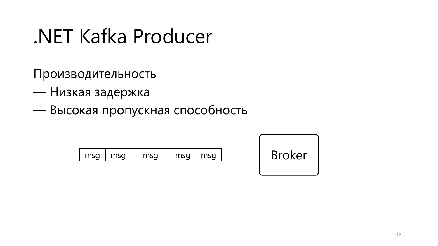- Низкая задержка
- Высокая пропускная способность

| mc <sub>0</sub><br>max <sub>c</sub><br>۔ | max <sub>0</sub> | mcn | max <sub>c</sub> |
|------------------------------------------|------------------|-----|------------------|
|------------------------------------------|------------------|-----|------------------|

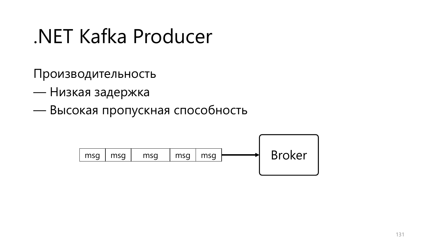- Низкая задержка
- Высокая пропускная способность

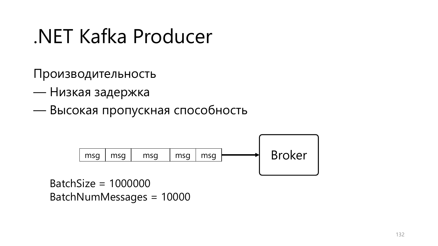Производительность

- Низкая задержка
- Высокая пропускная способность



BatchSize = 1000000 BatchNumMessages = 10000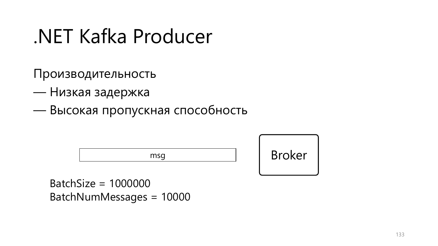Производительность

- Низкая задержка
- Высокая пропускная способность



BatchSize = 1000000 BatchNumMessages = 10000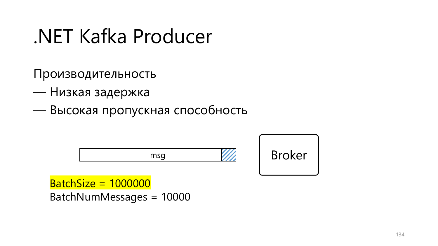Производительность

- Низкая задержка
- Высокая пропускная способность



BatchSize = 1000000 BatchNumMessages = 10000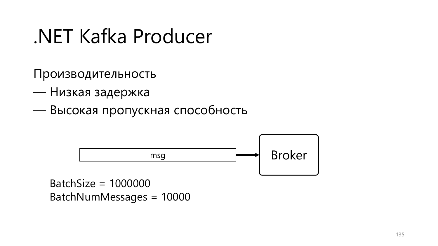Производительность

- Низкая задержка
- Высокая пропускная способность



BatchNumMessages = 10000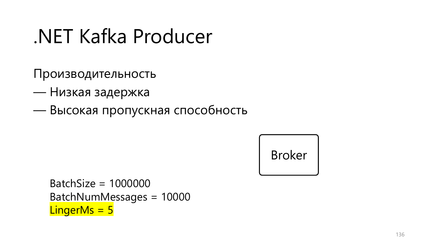- Производительность
- Низкая задержка
- Высокая пропускная способность

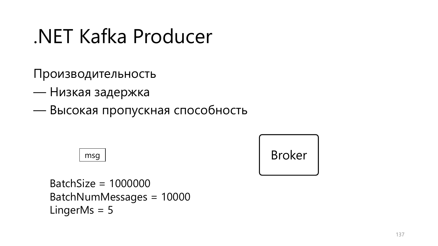Производительность

- Низкая задержка
- Высокая пропускная способность

msg

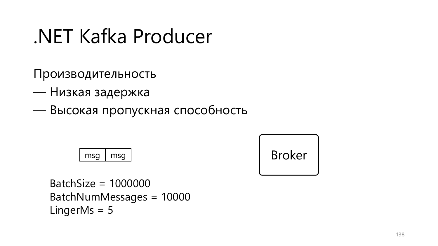Производительность

- Низкая задержка
- Высокая пропускная способность

$$
\boxed{\mathsf{msg} \mid \mathsf{msg}}
$$

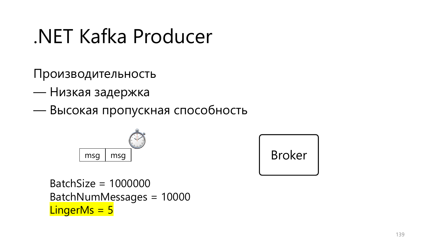Производительность

- Низкая задержка
- Высокая пропускная способность



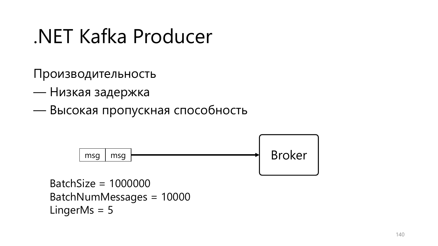- Низкая задержка
- Высокая пропускная способность

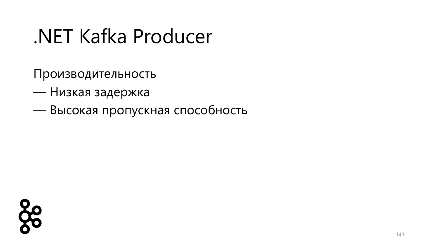- Низкая задержка
- Высокая пропускная способность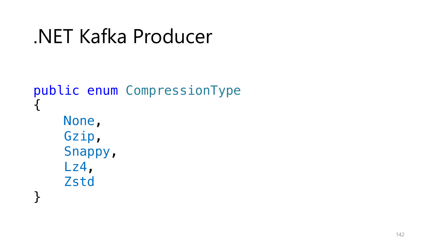```
.NET Kafka Producer
```

```
public enum CompressionType
{
    None,
    Gzip,
    Snappy,
    Lz4,
    Zstd
}
```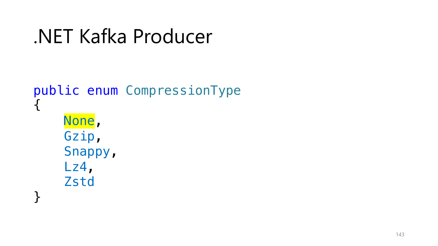```
.NET Kafka Producer
```

```
public enum CompressionType
\mathcal{A}% _{l}(a)=\mathcal{A}_{l}(a)=\mathcal{A}_{l}(a)None,
        Gzip,
        Snappy,
         Lz4,
        Zstd
}<br>}
```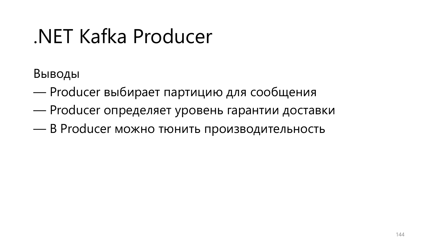Выводы

- Producer выбирает партицию для сообщения
- Producer определяет уровень гарантии доставки
- В Producer можно тюнить производительность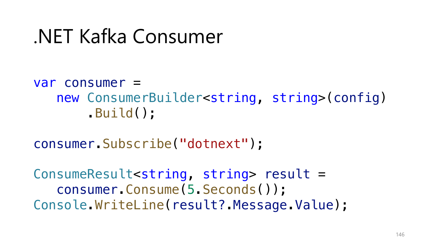#### var consumer = new ConsumerBuilder<string, string>(config) .Build();

consumer.Subscribe("dotnext");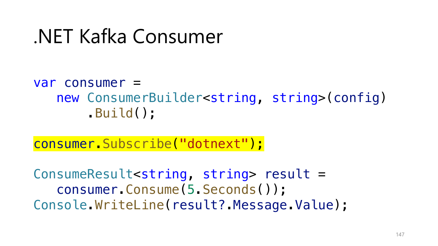#### var consumer = new ConsumerBuilder<string, string>(config) .Build();

consumer.Subscribe("dotnext");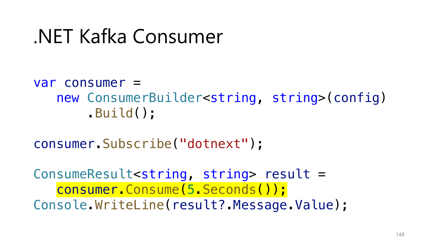#### var consumer = new ConsumerBuilder<string, string>(config) .Build();

consumer.Subscribe("dotnext");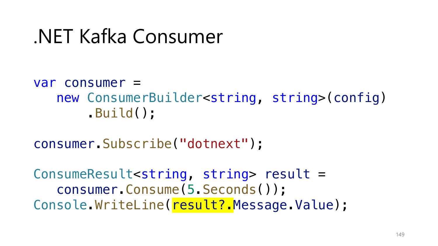#### var consumer = new ConsumerBuilder<string, string>(config) .Build();

consumer.Subscribe("dotnext");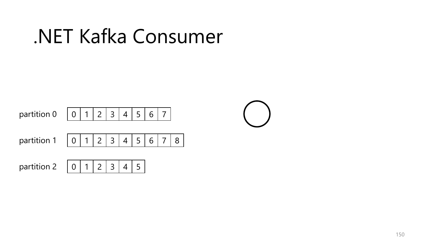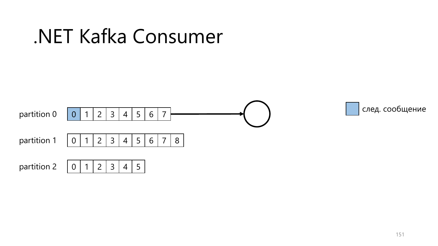

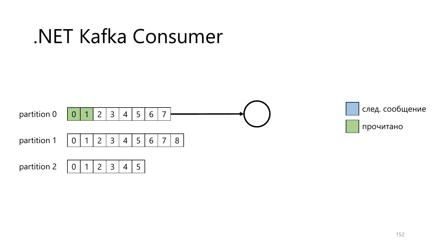

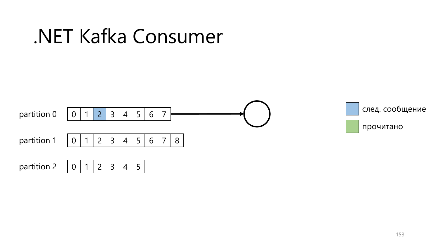

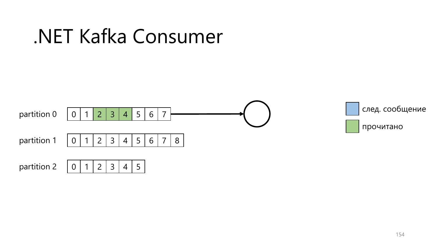

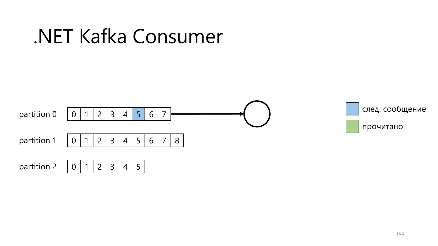

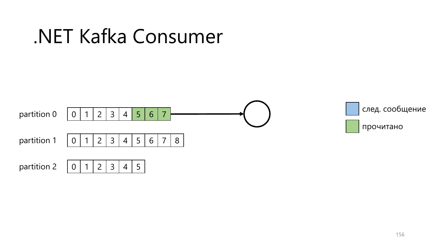

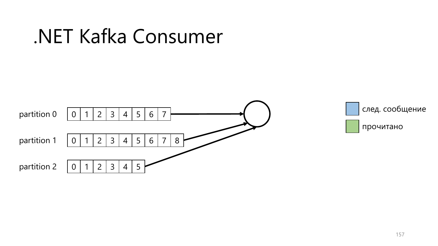



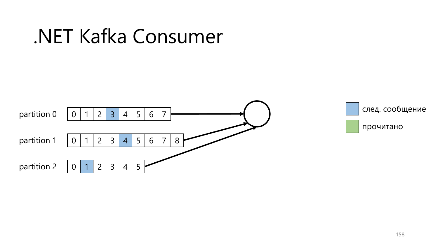



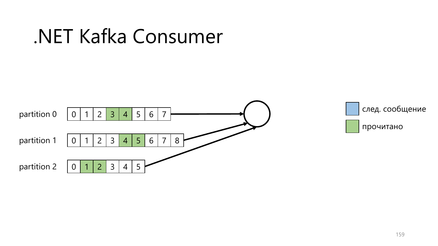



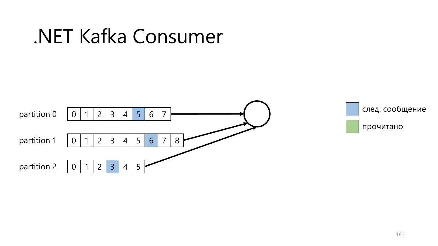



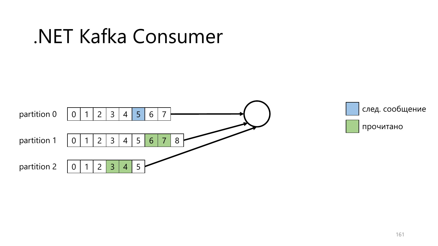



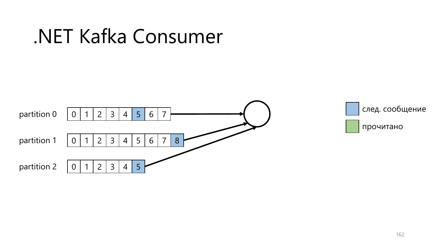



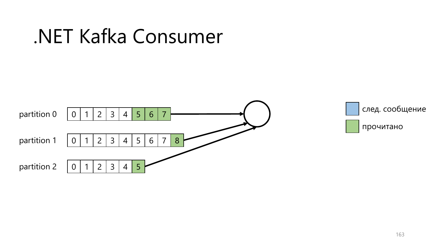



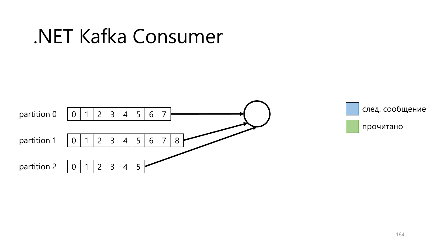



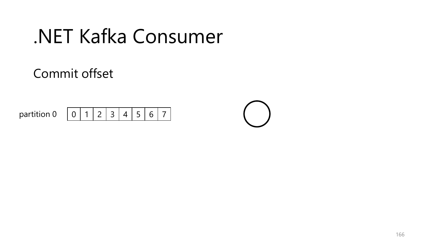

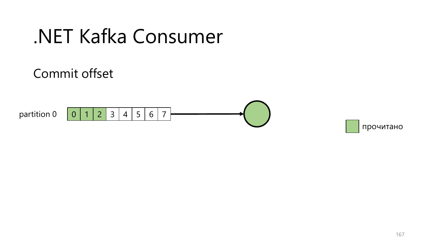

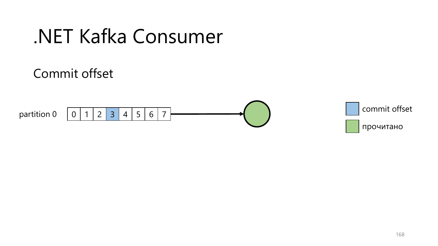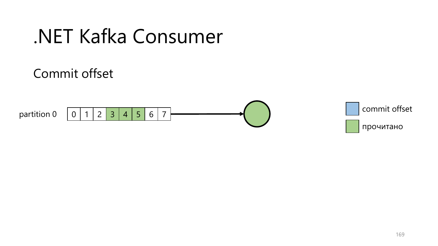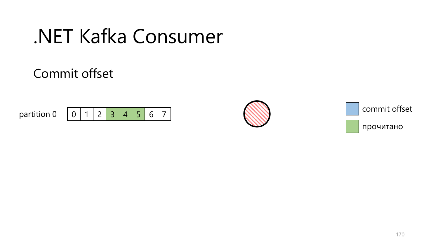



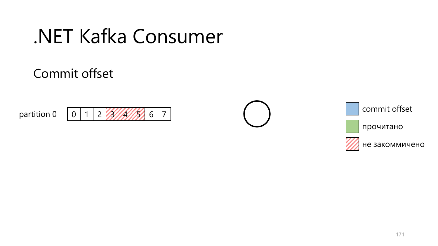#### Commit offset









не закоммичено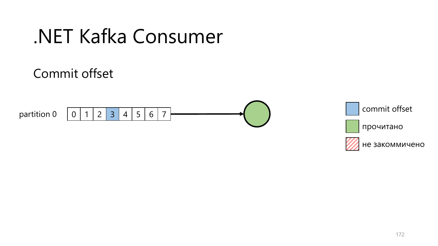

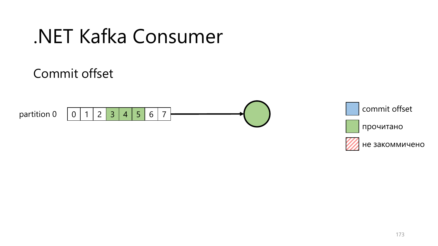

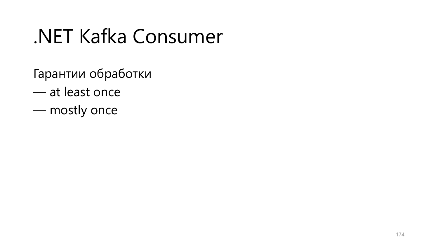- Гарантии обработки
- at least once
- mostly once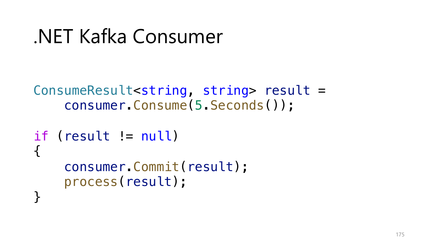```
ConsumeResult<string, string> result =
    consumer.Consume(5.Seconds());
```

```
if (result != null)
{
    consumer.Commit(result);
    process(result);
<u>}</u>
```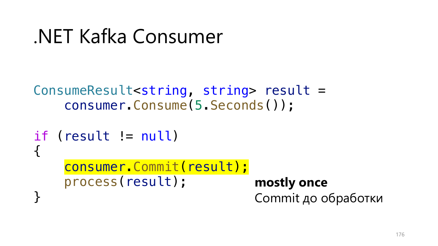```
ConsumeResult<string, string> result =
    consumer.Consume(5.Seconds());
```

```
if (result != null)
{
    consumer.Commit(result);
    process(result);
<u>}</u>
                                 mostly once
                                 Commit до обработки
```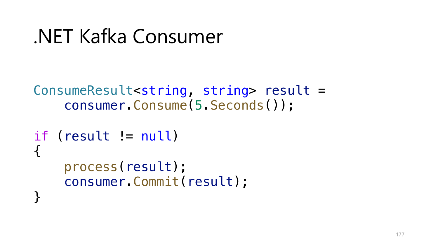```
ConsumeResult<string, string> result =
    consumer.Consume(5.Seconds());
```

```
if (result != null)
{
    process(result);
    consumer.Commit(result);
<u>}</u>
```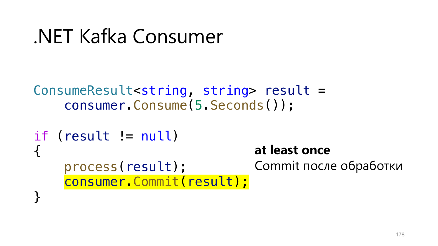```
ConsumeResult<string, string> result =
    consumer.Consume(5.Seconds());
```

```
if (result != null)
{
    process(result);
    consumer.Commit(result);
<u>}</u>
                                  at least once
                                  Commit после обработки
```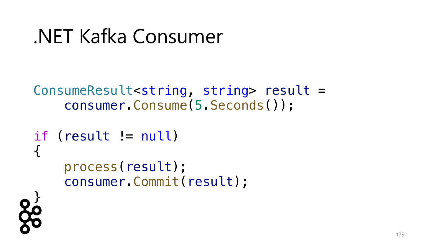```
ConsumeResult<string, string> result =
    consumer.Consume(5.Seconds());
```

```
if (result != null)
{
    process(result);
    consumer.Commit(result);
```
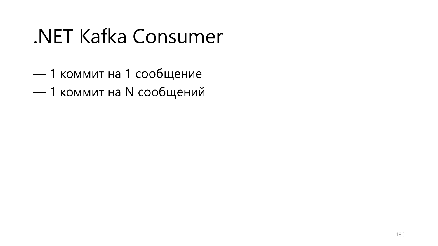- 1 коммит на 1 сообщение
- 1 коммит на N сообщений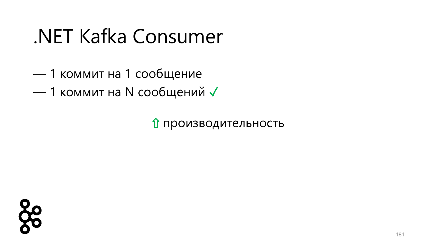- 1 коммит на 1 сообщение
- 1 коммит на N сообщений √

⇧ производительность

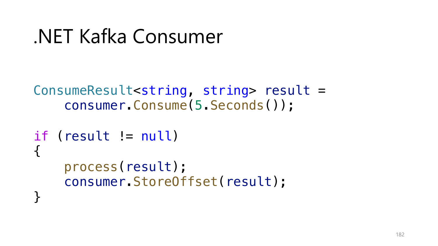```
ConsumeResult<string, string> result =
    consumer.Consume(5.Seconds());
```

```
if (result != null)
{
    process(result);
    consumer.StoreOffset(result);
<u>}</u>
```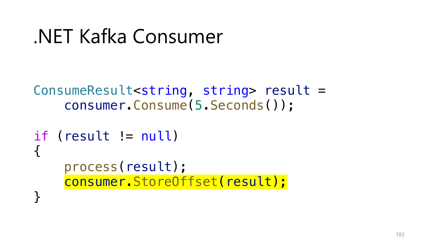```
ConsumeResult<string, string> result =
    consumer.Consume(5.Seconds());
```

```
if (result != null)
{
    process(result);
    consumer.StoreOffset(result);
<u>}</u>
```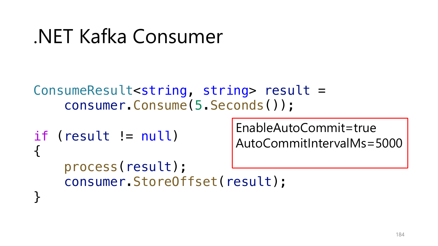```
ConsumeResult<string, string> result =
    consumer.Consume(5.Seconds());
```

```
if (result != null)
{
    process(result);
    consumer.StoreOffset(result);
<u>}</u>
```
EnableAutoCommit=true AutoCommitIntervalMs=5000

184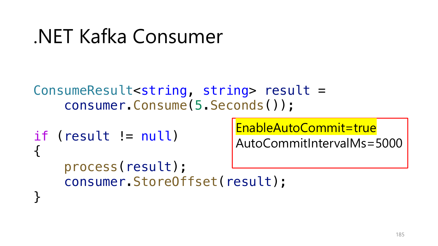```
ConsumeResult<string, string> result =
    consumer.Consume(5.Seconds());
```

```
if (result != null)
{
    process(result);
    consumer.StoreOffset(result);
<u>}</u>
```
EnableAutoCommit=true

AutoCommitIntervalMs=5000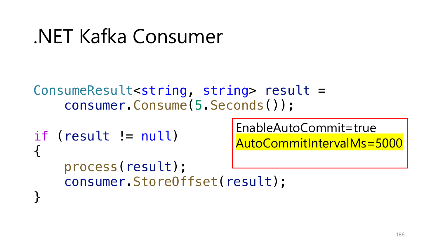```
ConsumeResult<string, string> result =
    consumer.Consume(5.Seconds());
```

```
if (result != null)
{
    process(result);
    consumer.StoreOffset(result);
<u>}</u>
```
EnableAutoCommit=true AutoCommitIntervalMs=5000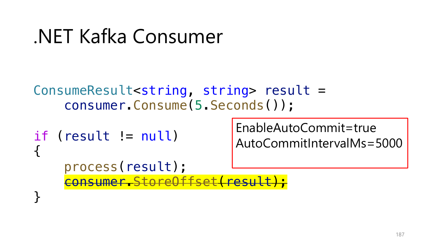```
ConsumeResult<string, string> result =
    consumer.Consume(5.Seconds());
```

```
if (result != null)
{
    process(result);
    consumer.StoreOffset(result);
<u>}</u>
```
EnableAutoCommit=true AutoCommitIntervalMs=5000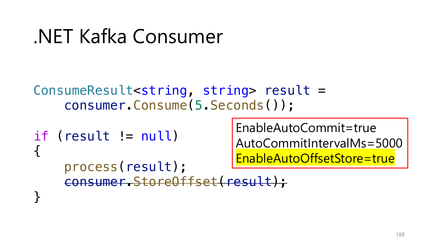```
ConsumeResult<string, string> result =
    consumer.Consume(5.Seconds());
```

```
if (result != null)
{
    process(result);
    consumer.StoreOffset(result);
<u>}</u>
```
EnableAutoCommit=true AutoCommitIntervalMs=5000 EnableAutoOffsetStore=true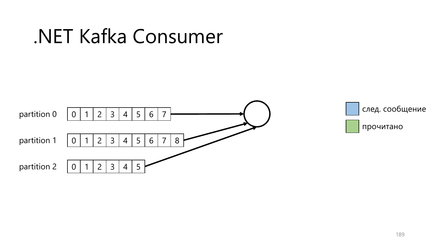



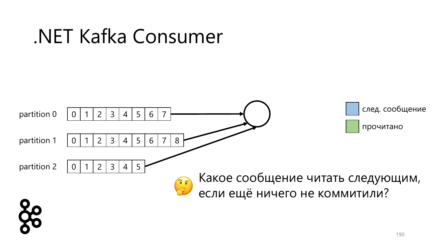

#### 190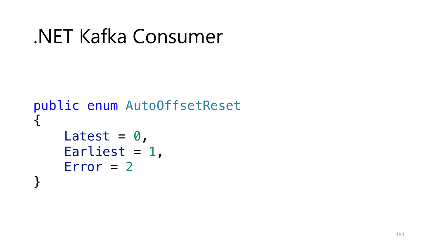```
.NET Kafka Consumer
```

```
public enum AutoOffsetReset
{
    Latest = \theta,
    Earliest = 1,
    Error = 2}
```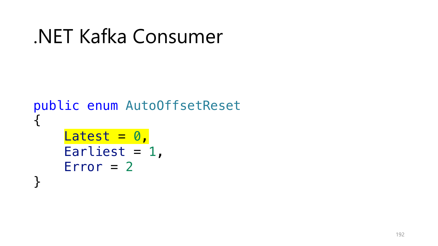```
public enum AutoOffsetReset
{
    Latest = 0,Earliest = 1,
    Error = 2}
```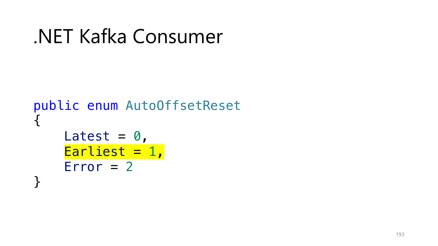```
public enum AutoOffsetReset
{
    Latest = \theta,
    Earliest = 1,
    Error = 2}
```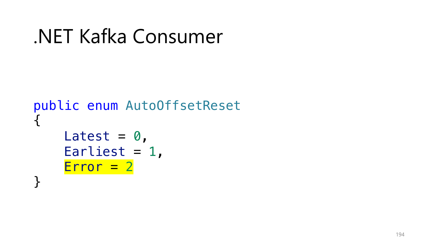```
public enum AutoOffsetReset
{
    Latest = \theta,
    Earliest = 1,
    Error = 2}
```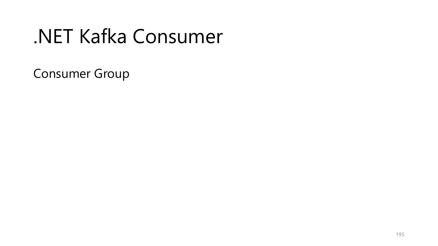Consumer Group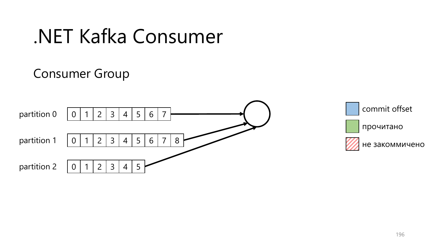#### Consumer Group





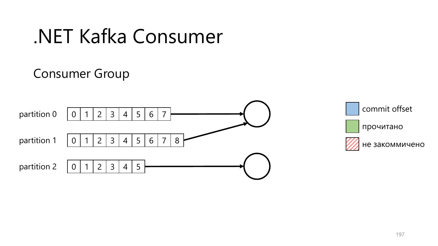#### Consumer Group



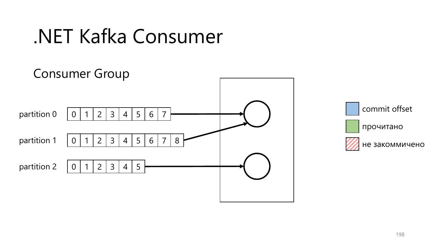

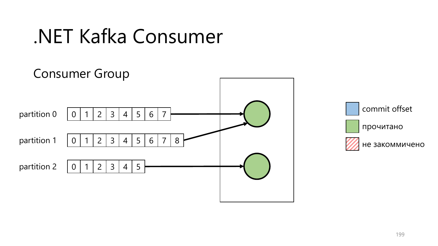

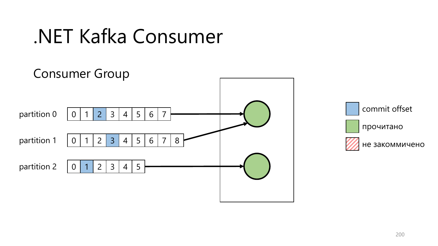

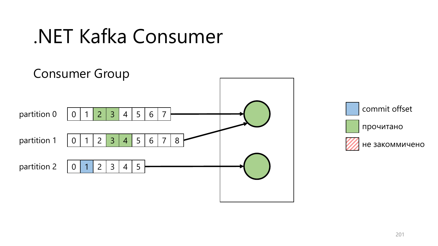

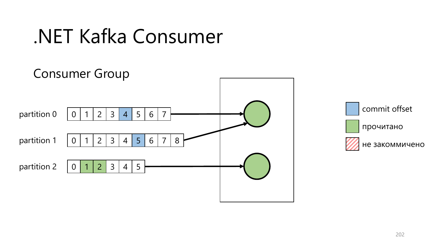

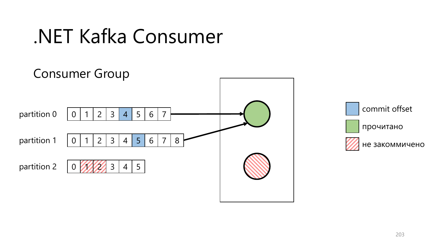

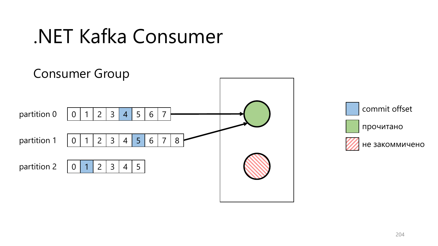

commit offset прочитано не закоммичено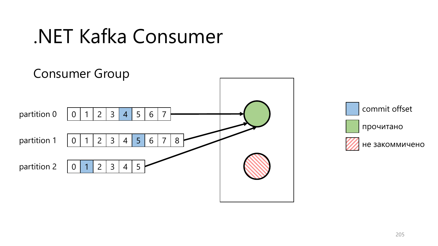

commit offset прочитано не закоммичено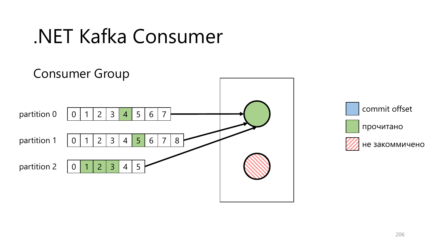

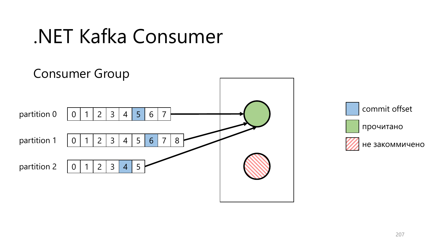

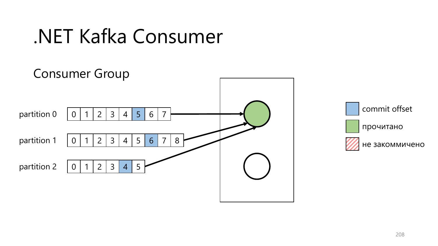

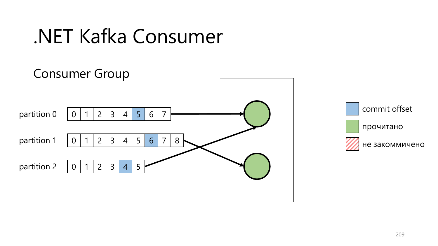

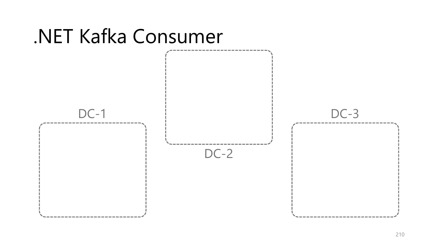

#### 210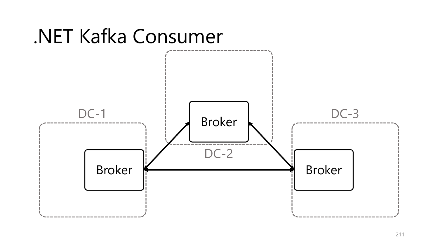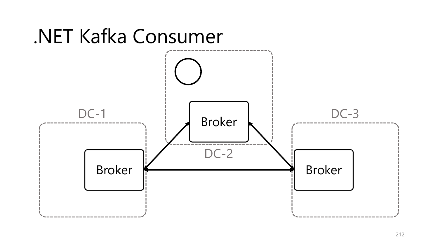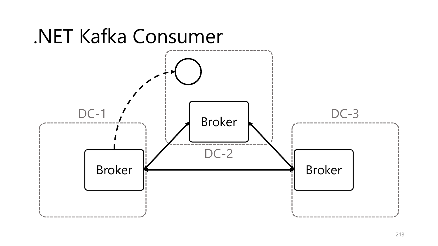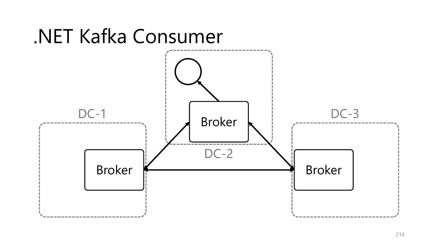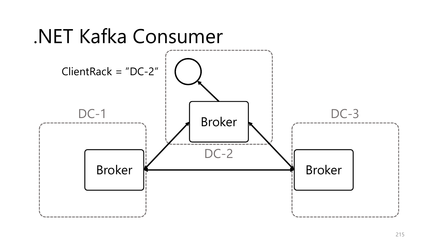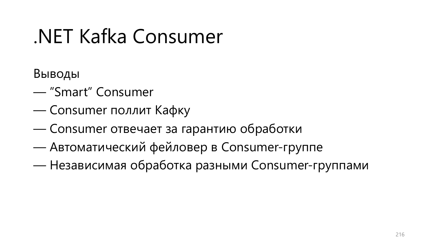Выводы

- "Smart" Consumer
- Consumer поллит Кафку
- Consumer отвечает за гарантию обработки
- Автоматический фейловер в Consumer-группе
- Независимая обработка разными Consumer-группами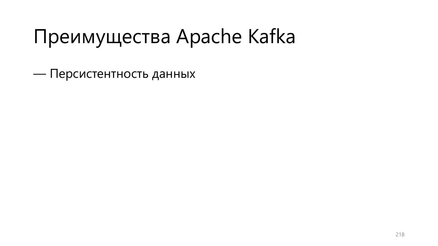— Персистентность данных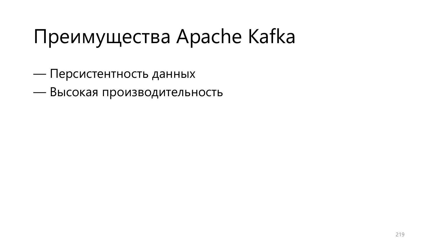— Персистентность данных

— Высокая производительность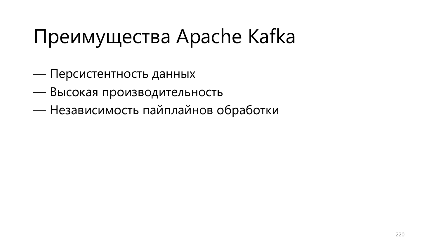- Персистентность данных
- Высокая производительность
- Независимость пайплайнов обработки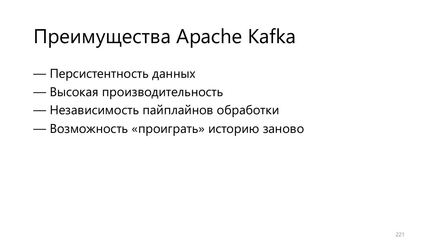- Персистентность данных
- Высокая производительность
- Независимость пайплайнов обработки
- Возможность «проиграть» историю заново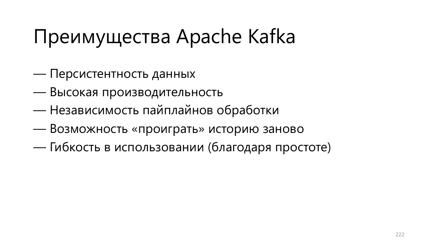- Персистентность данных
- Высокая производительность
- Независимость пайплайнов обработки
- Возможность «проиграть» историю заново
- Гибкость в использовании (благодаря простоте)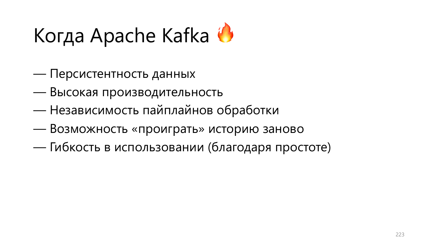- Персистентность данных
- Высокая производительность
- Независимость пайплайнов обработки
- Возможность «проиграть» историю заново
- Гибкость в использовании (благодаря простоте)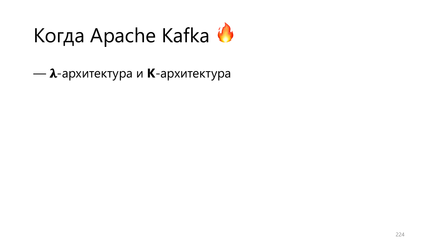- *λ*-архитектура и **K**-архитектура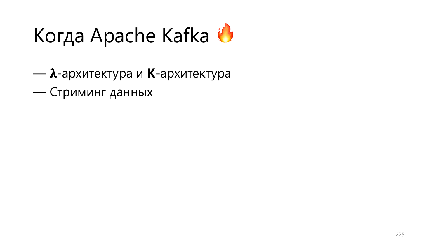- *λ*-архитектура и **K**-архитектура — Стриминг данных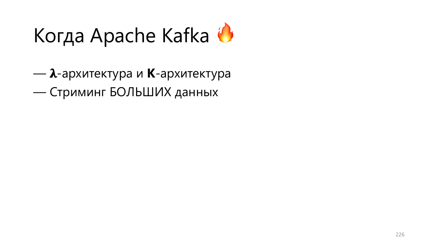—  $\lambda$ -архитектура и **K**-архитектура — Стриминг БОЛЬШИХ данных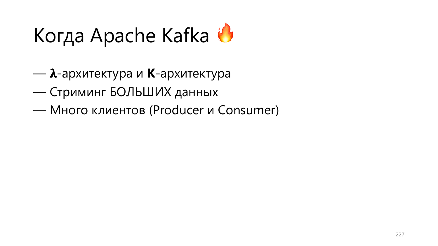- *λ*-архитектура и **K**-архитектура
- Стриминг БОЛЬШИХ данных
- Много клиентов (Producer и Consumer)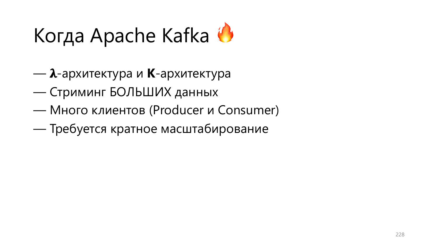- *λ*-архитектура и **K**-архитектура
- Стриминг БОЛЬШИХ данных
- Много клиентов (Producer и Consumer)
- Требуется кратное масштабирование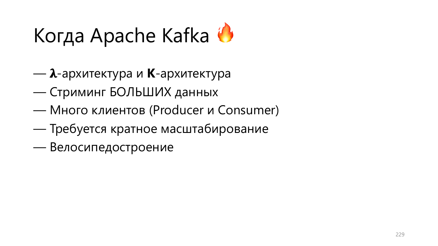- $\lambda$ -архитектура и **K**-архитектура
- Стриминг БОЛЬШИХ данных
- Много клиентов (Producer и Consumer)
- Требуется кратное масштабирование
- Велосипедостроение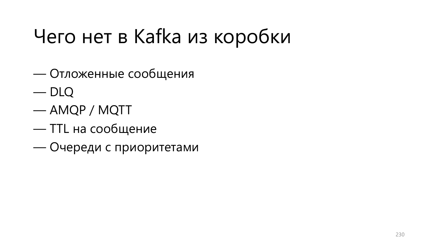### Чего нет в Kafka из коробки

- Отложенные сообщения
- DLQ
- AMQP / MQTT
- TTL на сообщение
- Очереди с приоритетами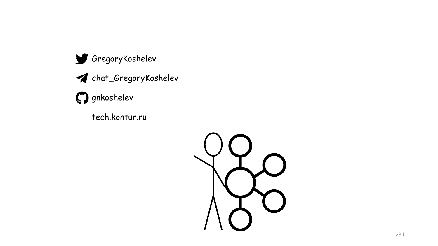

tech.kontur.ru

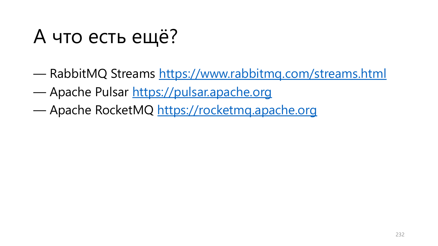#### А что есть ещё?

- RabbitMQ Streams https://www.rabbitmd
- Apache Pulsar https://pulsar.apache.org
- Apache RocketMQ https://rocketmq.apac